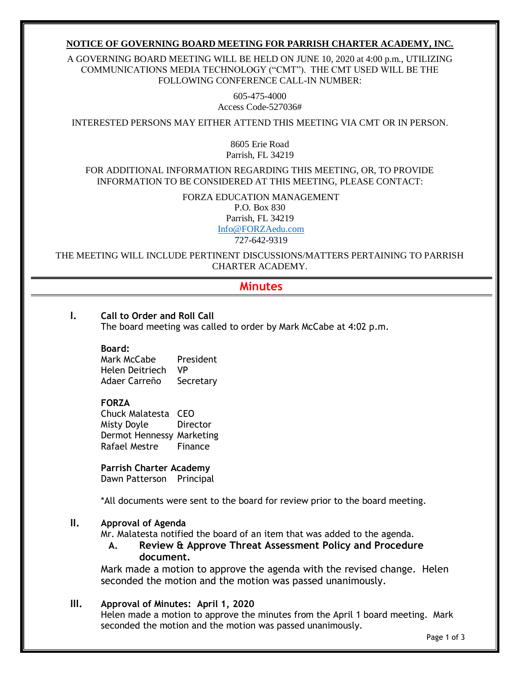### **NOTICE OF GOVERNING BOARD MEETING FOR PARRISH CHARTER ACADEMY, INC.**

A GOVERNING BOARD MEETING WILL BE HELD ON JUNE 10, 2020 at 4:00 p.m., UTILIZING COMMUNICATIONS MEDIA TECHNOLOGY ("CMT"). THE CMT USED WILL BE THE FOLLOWING CONFERENCE CALL-IN NUMBER:

> 605-475-4000 Access Code-527036#

INTERESTED PERSONS MAY EITHER ATTEND THIS MEETING VIA CMT OR IN PERSON.

8605 Erie Road Parrish, FL 34219

FOR ADDITIONAL INFORMATION REGARDING THIS MEETING, OR, TO PROVIDE INFORMATION TO BE CONSIDERED AT THIS MEETING, PLEASE CONTACT:

> FORZA EDUCATION MANAGEMENT P.O. Box 830 Parrish, FL 34219 [Info@FORZAedu.com](mailto:Info@FORZAedu.com)

> > 727-642-9319

THE MEETING WILL INCLUDE PERTINENT DISCUSSIONS/MATTERS PERTAINING TO PARRISH CHARTER ACADEMY.

# **Minutes**

**I. Call to Order and Roll Call** The board meeting was called to order by Mark McCabe at 4:02 p.m.

**Board:**

Mark McCabe President Helen Deitriech VP Adaer Carreño Secretary

### **FORZA**

Chuck Malatesta CEO Misty Doyle Director Dermot Hennessy Marketing Rafael Mestre Finance

**Parrish Charter Academy** Dawn Patterson Principal

\*All documents were sent to the board for review prior to the board meeting.

### **II. Approval of Agenda**

Mr. Malatesta notified the board of an item that was added to the agenda.

**A. Review & Approve Threat Assessment Policy and Procedure document.** 

Mark made a motion to approve the agenda with the revised change. Helen seconded the motion and the motion was passed unanimously.

### **III. Approval of Minutes: April 1, 2020**

Helen made a motion to approve the minutes from the April 1 board meeting. Mark seconded the motion and the motion was passed unanimously.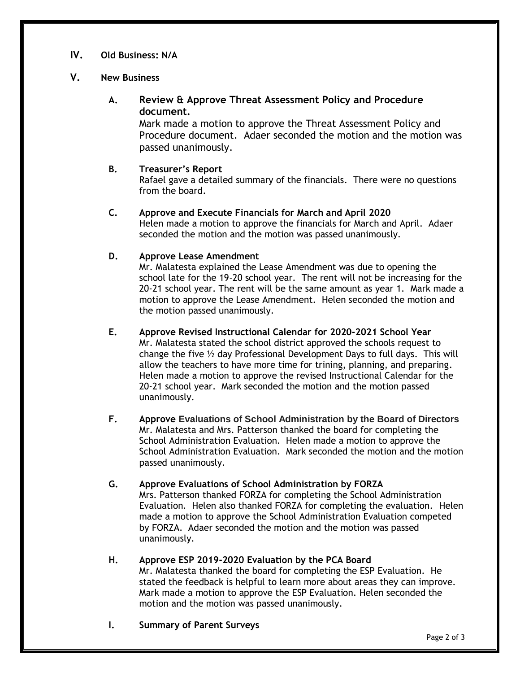# **IV. Old Business: N/A**

## **V. New Business**

# **A. Review & Approve Threat Assessment Policy and Procedure document.**

Mark made a motion to approve the Threat Assessment Policy and Procedure document. Adaer seconded the motion and the motion was passed unanimously.

### **B. Treasurer's Report**

Rafael gave a detailed summary of the financials. There were no questions from the board.

# **C. Approve and Execute Financials for March and April 2020**

Helen made a motion to approve the financials for March and April. Adaer seconded the motion and the motion was passed unanimously.

### **D. Approve Lease Amendment**

Mr. Malatesta explained the Lease Amendment was due to opening the school late for the 19-20 school year. The rent will not be increasing for the 20-21 school year. The rent will be the same amount as year 1. Mark made a motion to approve the Lease Amendment. Helen seconded the motion and the motion passed unanimously.

### **E. Approve Revised Instructional Calendar for 2020-2021 School Year**

Mr. Malatesta stated the school district approved the schools request to change the five  $\frac{1}{2}$  day Professional Development Days to full days. This will allow the teachers to have more time for trining, planning, and preparing. Helen made a motion to approve the revised Instructional Calendar for the 20-21 school year. Mark seconded the motion and the motion passed unanimously.

### **F. Approve Evaluations of School Administration by the Board of Directors** Mr. Malatesta and Mrs. Patterson thanked the board for completing the School Administration Evaluation. Helen made a motion to approve the School Administration Evaluation. Mark seconded the motion and the motion passed unanimously.

### **G. Approve Evaluations of School Administration by FORZA**

Mrs. Patterson thanked FORZA for completing the School Administration Evaluation. Helen also thanked FORZA for completing the evaluation. Helen made a motion to approve the School Administration Evaluation competed by FORZA. Adaer seconded the motion and the motion was passed unanimously.

## **H. Approve ESP 2019-2020 Evaluation by the PCA Board**

Mr. Malatesta thanked the board for completing the ESP Evaluation. He stated the feedback is helpful to learn more about areas they can improve. Mark made a motion to approve the ESP Evaluation. Helen seconded the motion and the motion was passed unanimously.

### **I. Summary of Parent Surveys**